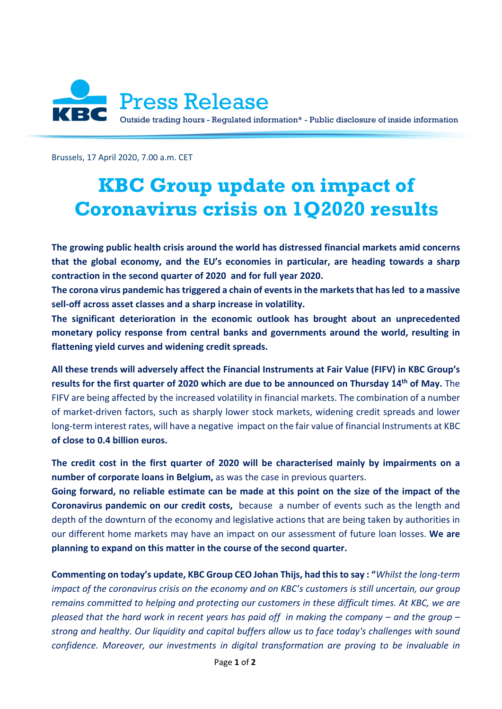

Brussels, 17 April 2020, 7.00 a.m. CET

## **KBC Group update on impact of Coronavirus crisis on 1Q2020 results**

**The growing public health crisis around the world has distressed financial markets amid concerns that the global economy, and the EU's economies in particular, are heading towards a sharp contraction in the second quarter of 2020 and for full year 2020.**

**The corona virus pandemic has triggered a chain of events in the markets that has led to a massive sell-off across asset classes and a sharp increase in volatility.**

**The significant deterioration in the economic outlook has brought about an unprecedented monetary policy response from central banks and governments around the world, resulting in flattening yield curves and widening credit spreads.**

**All these trends will adversely affect the Financial Instruments at Fair Value (FIFV) in KBC Group's results for the first quarter of 2020 which are due to be announced on Thursday 14th of May.** The FIFV are being affected by the increased volatility in financial markets. The combination of a number of market-driven factors, such as sharply lower stock markets, widening credit spreads and lower long-term interest rates, will have a negative impact on the fair value of financial Instruments at KBC **of close to 0.4 billion euros.**

**The credit cost in the first quarter of 2020 will be characterised mainly by impairments on a number of corporate loans in Belgium,** as was the case in previous quarters.

**Going forward, no reliable estimate can be made at this point on the size of the impact of the Coronavirus pandemic on our credit costs,** because a number of events such as the length and depth of the downturn of the economy and legislative actions that are being taken by authorities in our different home markets may have an impact on our assessment of future loan losses. **We are planning to expand on this matter in the course of the second quarter.**

**Commenting on today's update, KBC Group CEO Johan Thijs, had this to say : "***Whilst the long-term impact of the coronavirus crisis on the economy and on KBC's customers is still uncertain, our group remains committed to helping and protecting our customers in these difficult times. At KBC, we are pleased that the hard work in recent years has paid off in making the company – and the group – strong and healthy. Our liquidity and capital buffers allow us to face today's challenges with sound confidence. Moreover, our investments in digital transformation are proving to be invaluable in*